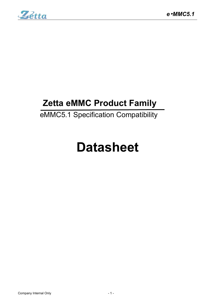

# **Zetta eMMC Product Family**

# eMMC5.1 Specification Compatibility

# **Datasheet**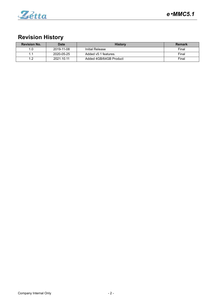

# **Revision History**

| <b>Revision No.</b> | <b>Date</b> | <b>History</b>         | Remark |
|---------------------|-------------|------------------------|--------|
|                     | 2019-11-08  | Initial Release        | Final  |
|                     | 2020-05-25  | Added v5.1 features.   | Final  |
|                     | 2021.10.11  | Added 4GB/64GB Product | Final  |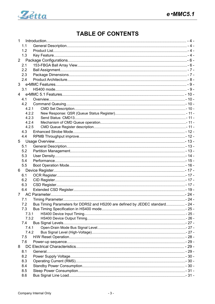

# **TABLE OF CONTENTS**

| $\mathbf{1}$   |       |                                                                                |  |
|----------------|-------|--------------------------------------------------------------------------------|--|
|                | 1.1   |                                                                                |  |
|                | 1.2   |                                                                                |  |
|                | 1.3   |                                                                                |  |
| $\overline{2}$ |       |                                                                                |  |
|                | 2.1   |                                                                                |  |
|                | 2.2   |                                                                                |  |
|                | 2.3   |                                                                                |  |
|                | 2.4   |                                                                                |  |
| 3              |       |                                                                                |  |
|                | 3.1   |                                                                                |  |
| 4              |       |                                                                                |  |
|                | 4.1   |                                                                                |  |
|                | 4.2   |                                                                                |  |
|                | 4.2.1 |                                                                                |  |
|                | 4.2.2 |                                                                                |  |
|                | 4.2.3 |                                                                                |  |
|                | 4.2.4 |                                                                                |  |
|                | 4.2.5 |                                                                                |  |
|                | 4.3   |                                                                                |  |
|                | 4.4   |                                                                                |  |
| 5              |       |                                                                                |  |
|                | 5.1   |                                                                                |  |
|                | 5.2   |                                                                                |  |
|                | 5.3   |                                                                                |  |
|                | 5.4   |                                                                                |  |
|                | 5.5   |                                                                                |  |
|                |       |                                                                                |  |
| 6              |       |                                                                                |  |
|                | 6.1   |                                                                                |  |
|                | 6.2   |                                                                                |  |
|                | 6.3   |                                                                                |  |
|                | 6.4   |                                                                                |  |
|                |       |                                                                                |  |
|                |       |                                                                                |  |
|                | 7.2   | Bus Timing Parameters for DDR52 and HS200 are defined by JEDEC standard - 24 - |  |
|                | 7.3   |                                                                                |  |
|                | 7.3.1 |                                                                                |  |
|                | 7.3.2 |                                                                                |  |
|                | 7.4   |                                                                                |  |
|                | 7.4.1 |                                                                                |  |
|                | 7.4.2 |                                                                                |  |
|                | 7.5   |                                                                                |  |
|                | 7.6   |                                                                                |  |
| 8              |       |                                                                                |  |
|                | 8.1   |                                                                                |  |
|                | 8.2   |                                                                                |  |
|                | 8.3   |                                                                                |  |
|                | 8.4   |                                                                                |  |
|                | 8.5   |                                                                                |  |
|                | 8.6   |                                                                                |  |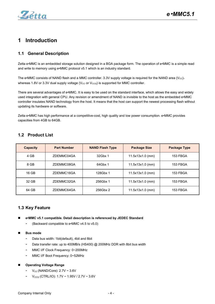

# <span id="page-3-0"></span>**1 Introduction**

# <span id="page-3-1"></span>**1.1 General Description**

Zetta e•MMC is an embedded storage solution designed in a BGA package form. The operation of e•MMC is a simple read and write to memory using e•MMC protocol v5.1 which is an industry standard.

The e•MMC consists of NAND flash and a MMC controller. 3.3V supply voltage is required for the NAND area ( $V_{\text{CC}}$ ), whereas 1.8V or 3.3V dual supply voltage ( $V_{CC}$  or  $V_{CCQ}$ ) is supported for MMC controller.

There are several advantages of e•MMC. It is easy to be used on the standard interface, which allows the easy and widely used integration with general CPU. Any revision or amendment of NAND is invisible to the host as the embedded e•MMC controller insulates NAND technology from the host. It means that the host can support the newest processing flash without updating its hardware or software.

Zetta e•MMC has high performance at a competitive-cost, high quality and low power consumption. e•MMC provides capacities from 4GB to 64GB.

| <b>Capacity</b> | <b>Part Number</b> | <b>NAND Flash Type</b> | <b>Package Size</b> | <b>Package Type</b> |
|-----------------|--------------------|------------------------|---------------------|---------------------|
| 4 GB            | ZDEMMC04GA         | 32Gbx 1                | $11.5x13x1.0$ (mm)  | 153 FBGA            |
| 8 GB            | ZDEMMC08GA         | 64Gbx 1                | $11.5x13x1.0$ (mm)  | 153 FBGA            |
| 16 GB           | ZDEMMC16GA         | 128Gbx 1               | $11.5x13x1.0$ (mm)  | 153 FBGA            |
| 32 GB           | ZDEMMC32GA         | 256Gbx 1               | $11.5x13x1.0$ (mm)  | 153 FBGA            |
| 64 GB           | ZDEMMC64GA         | 256Gbx 2               | $11.5x13x1.0$ (mm)  | 153 FBGA            |

### <span id="page-3-2"></span>**1.2 Product List**

# <span id="page-3-3"></span>**1.3 Key Feature**

**e•MMC v5.1 compatible. Detail description is referenced by JEDEC Standard**

- (Backward compatible to e•MMC v4.5 to v5.0)

**Bus mode**

- Data bus width: 1bit(default), 4bit and 8bit
- Data transfer rate: up to 400MB/s (HS400) @ 200MHz DDR with 8bit bus width
- MMC I/F Clock Frequency: 0~200MHz
- MMC I/F Boot Frequency: 0~52MHz
- **Operating Voltage Range**
	- $V_{CC}$  (NAND/Core): 2.7V ~ 3.6V
	- $V_{CCQ}$  (CTRL/IO): 1.7V ~ 1.95V / 2.7V ~ 3.6V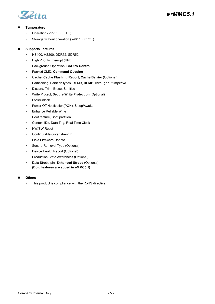

### **Temperature**

- Operation ( -25℃ ~ 85℃ )
- Storage without operation ( -40℃ ~ 85℃ )

### **Supports Features**

- HS400, HS200, DDR52, SDR52
- High Priority Interrupt (HPI)
- Background Operation, **BKOPS Control**
- Packed CMD, **Command Queuing**
- Cache, **Cache Flushing Report, Cache Barrier** (Optional)
- Partitioning, Partition types, RPMB, **RPMB Throughput Improve**
- Discard, Trim, Erase, Sanitize
- Write Protect, **Secure Write Protection** (Optional)
- Lock/Unlock
- Power Off Notification(PON), Sleep/Awake
- Enhance Reliable Write
- Boot feature, Boot partition
- Context IDs, Data Tag, Real Time Clock
- HW/SW Reset
- Configurable driver strength
- Field Firmware Update
- Secure Removal Type (Optional)
- Device Health Report (Optional)
- Production State Awareness (Optional)
- Data Strobe pin, **Enhanced Strobe** (Optional) **(Bold features are added in eMMC5.1)**
- **Others**
	- This product is compliance with the RoHS directive.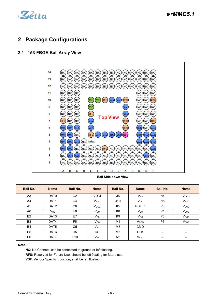

# <span id="page-5-0"></span>**2 Package Configurations**

# <span id="page-5-1"></span>**2.1 153-FBGA Ball Array View**



### **Ball Side down View**

| <b>Ball No.</b> | <b>Name</b>                | <b>Ball No.</b> | <b>Name</b>  | <b>Ball No.</b> | <b>Name</b>      | <b>Ball No.</b>          | <b>Name</b>                                       |
|-----------------|----------------------------|-----------------|--------------|-----------------|------------------|--------------------------|---------------------------------------------------|
| A <sub>3</sub>  | DAT <sub>0</sub>           | C <sub>2</sub>  | <b>VDDi</b>  | J <sub>5</sub>  | Vss              | N4                       | Vcco                                              |
| A4              | DAT <sub>1</sub>           | C <sub>4</sub>  | Vssq         | J10             | $V_{\rm CC}$     | N <sub>5</sub>           | Vsso                                              |
| A <sub>5</sub>  | DAT <sub>2</sub>           | C <sub>6</sub>  | Vcco         | K <sub>5</sub>  | RST <sub>n</sub> | P <sub>3</sub>           | Vcco                                              |
| A <sub>6</sub>  | $\mathsf{V}_{\mathsf{SS}}$ | E <sub>6</sub>  | $V_{\rm CC}$ | K <sub>8</sub>  | $V_{\rm SS}$     | P <sub>4</sub>           | V <sub>ssq</sub>                                  |
| <b>B2</b>       | DAT <sub>3</sub>           | E7              | $V_{SS}$     | K <sub>9</sub>  | $V_{\rm CC}$     | P <sub>5</sub>           | Vcco                                              |
| B <sub>3</sub>  | DAT4                       | F <sub>5</sub>  | $V_{\rm CC}$ | M4              | V <sub>cco</sub> | P <sub>6</sub>           | Vsso                                              |
| <b>B4</b>       | DAT <sub>5</sub>           | G <sub>5</sub>  | $V_{SS}$     | M <sub>5</sub>  | <b>CMD</b>       | $\hspace{0.05cm}$        | $\overline{\phantom{a}}$                          |
| B <sub>5</sub>  | DAT <sub>6</sub>           | H <sub>5</sub>  | <b>DS</b>    | M <sub>6</sub>  | <b>CLK</b>       | $\overline{\phantom{a}}$ | $\hspace{0.05cm}-\hspace{0.05cm}-\hspace{0.05cm}$ |
| B <sub>6</sub>  | DAT7                       | H <sub>10</sub> | $V_{SS}$     | N <sub>2</sub>  | Vsso             | $\hspace{0.05cm}$        | $\hspace{0.05cm}-\hspace{0.05cm}-\hspace{0.05cm}$ |

### **Note**:

**NC:** No Connect, can be connected to ground or left floating. **RFU:** Reserved for Future Use, should be left floating for future use.

**VSF:** Vendor Specific Function, shall be left floating.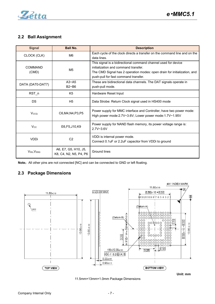

### <span id="page-6-0"></span>**2.2 Ball Assignment**

| <b>Signal</b>           | <b>Ball No.</b>                                | <b>Description</b>                                                                                                                                                                                                         |
|-------------------------|------------------------------------------------|----------------------------------------------------------------------------------------------------------------------------------------------------------------------------------------------------------------------------|
| CLOCK (CLK)             | M <sub>6</sub>                                 | Each cycle of the clock directs a transfer on the command line and on the<br>data lines.                                                                                                                                   |
| <b>COMMAND</b><br>(CMD) | M <sub>5</sub>                                 | This signal is a bidirectional command channel used for device<br>initialization and command transfer.<br>The CMD Signal has 2 operation modes: open drain for initialization, and<br>push-pull for fast command transfer. |
| DATA (DAT0-DAT7)        | $A3 - A5$<br>$B2 - B6$                         | These are bidirectional data channels. The DAT signals operate in<br>push-pull mode.                                                                                                                                       |
| RST <sub>n</sub>        | K <sub>5</sub>                                 | Hardware Reset Input                                                                                                                                                                                                       |
| <b>DS</b>               | H <sub>5</sub>                                 | Data Strobe: Return Clock signal used in HS400 mode                                                                                                                                                                        |
| Vcco                    | C6, M4, N4, P3, P5                             | Power supply for MMC interface and Controller, have two power mode:<br>High power mode: 2.7V~3.6V; Lower power mode: 1.7V~1.95V                                                                                            |
| $V_{\rm CC}$            | E6, F5, J10, K9                                | Power supply for NAND flash memory, its power voltage range is:<br>$2.7V - 3.6V$                                                                                                                                           |
| <b>VDDi</b>             | C <sub>2</sub>                                 | VDDi is internal power mode.<br>Connect 0.1 uF or 2.2 uF capacitor from VDDi to ground                                                                                                                                     |
| $V_{SS}$ , $V_{SSQ}$    | A6, E7, G5, H10, J5,<br>K8, C4, N2, N5, P4, P6 | <b>Ground lines</b>                                                                                                                                                                                                        |

Note: All other pins are not connected [NC] and can be connected to GND or left floating.

# <span id="page-6-1"></span>**2.3 Package Dimensions**



11.5mm×13mm×1.0mm Package Dimensions

**Unit: mm**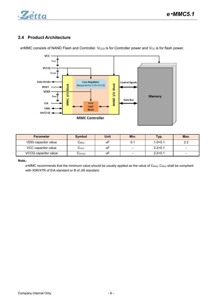

# <span id="page-7-0"></span>**2.4 Product Architecture**



e•MMC consists of NAND Flash and Controller. V<sub>CCQ</sub> is for Controller power and V<sub>CC</sub> is for flash power.

| <b>Parameter</b>     | <b>Symbol</b> | <b>Unit</b> | Min.                     | Typ.        | Max.                     |
|----------------------|---------------|-------------|--------------------------|-------------|--------------------------|
| VDDi capacitor value | じREG          | uF          | 0.1                      | $1.0 + 0.1$ | $2.2\,$                  |
| VCC capacitor value  | ت∨cc          | uF          | $\overline{\phantom{a}}$ | $2.2 + 0.1$ | $\blacksquare$           |
| VCCQ capacitor value | Cvcco         | uF          | -                        | $2.2 + 0.1$ | $\overline{\phantom{0}}$ |

#### **Note**:

e•MMC recommends that the minimum value should be usually applied as the value of C<sub>REG</sub>; C<sub>REG</sub> shall be compliant with X5R/X7R of EIA standard or B of JIS standard.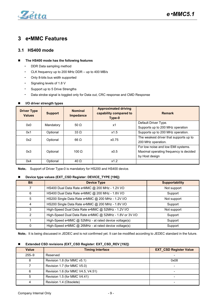

# <span id="page-8-0"></span>**3 e•MMC Features**

### <span id="page-8-1"></span>**3.1 HS400 mode**

### **The HS400 mode has the following features**

- DDR Data sampling method
- CLK frequency up to 200 MHz DDR up to 400 MB/s
- Only 8-bits bus width supported
- Signaling levels of 1.8 V
- Support up to 5 Drive Strengths
- Data strobe signal is toggled only for Data out, CRC response and CMD Response

| <b>Driver Type</b><br><b>Values</b> | <b>Support</b> | <b>Nominal</b><br>Impedance | <b>Approximated driving</b><br>capability compared to<br>Type-0 | <b>Remark</b>                          |
|-------------------------------------|----------------|-----------------------------|-----------------------------------------------------------------|----------------------------------------|
| 0x0                                 | Mandatory      | 50 $\Omega$                 | x1                                                              | Default Driver Type.                   |
|                                     |                |                             |                                                                 | Supports up to 200 MHz operation       |
| 0x1                                 | Optional       | $33 \Omega$                 | x1.5                                                            | Supports up to 200 MHz operation.      |
| 0x2                                 | Optional       | $66 \Omega$                 | x0.75                                                           | The weakest driver that supports up to |
|                                     |                |                             |                                                                 | 200 MHz operation.                     |
|                                     |                |                             |                                                                 | For low noise and low EMI systems.     |
| 0x3                                 | Optional       | 100 $\Omega$                | x0.5                                                            | Maximal operating frequency is decided |
|                                     |                |                             |                                                                 | by Host design                         |
| 0x4                                 | Optional       | $40 \Omega$                 | x1.2                                                            |                                        |

### **I/O driver strength types**

**Note**: Support of Driver Type-0 is mandatory for HS200 and HS400 device.

### **Device type values (EXT\_CSD Register: DEVICE\_TYPE [196])**

| <b>Bit</b> | <b>Device Type</b>                                       | <b>Supportability</b> |
|------------|----------------------------------------------------------|-----------------------|
|            | HS400 Dual Data Rate e•MMC @ 200 MHz - 1.2V I/O          | Not support           |
| 6          | HS400 Dual Data Rate e•MMC @ 200 MHz - 1.8V I/O          | Support               |
| 5          | HS200 Single Data Rate e•MMC @ 200 MHz - 1.2V I/O        | Not support           |
| 4          | HS200 Single Data Rate e•MMC @ 200 MHz - 1.8V I/O        | Support               |
|            | High-Speed Dual Data Rate e•MMC @ 52MHz - 1.2V I/O       | Not support           |
|            | High-Speed Dual Data Rate e.MMC @ 52MHz - 1.8V or 3V I/O | Support               |
|            | High-Speed e•MMC @ 52MHz - at rated device voltage(s)    | Support               |
|            | High-Speed e•MMC @ 26MHz - at rated device voltage(s)    | Support               |

Note: It is being discussed in JEDEC and is not confirmed yet. It can be modified according to JEDEC standard in the future.

### **Extended CSD revisions (EXT\_CSD Register: EXT\_CSD\_REV [192])**

| <b>Value</b> | <b>Timing Interface</b>            | <b>EXT_CSD Register Value</b> |
|--------------|------------------------------------|-------------------------------|
| $255 - 9$    | Reserved                           |                               |
|              | Revision 1.8 (for MMC v5.1)        | 0x08                          |
|              | Revision 1.7 (for MMC V5.0)        |                               |
| 6            | Revision 1.6 (for MMC V4.5, V4.51) |                               |
|              | Revision 1.5 (for MMC V4.41)       |                               |
|              | Revision 1.4 (Obsolete)            |                               |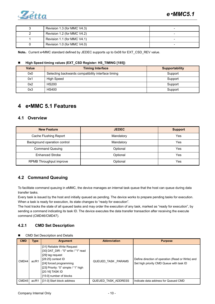

| Revision 1.3 (for MMC V4.3) |   |
|-----------------------------|---|
| Revision 1.2 (for MMC V4.2) |   |
| Revision 1.1 (for MMC V4.1) |   |
| Revision 1.0 (for MMC V4.0) | - |

Note: Current e•MMC standard defined by JEDEC supports up to 0x08 for EXT\_CSD\_REV value.

### **High Speed timing values (EXT\_CSD Register: HS\_TIMING [185])**

| <b>Value</b> | <b>Timing Interface</b>                            | <b>Supportability</b> |
|--------------|----------------------------------------------------|-----------------------|
| 0x0          | Selecting backwards compatibility interface timing | Support               |
| 0x1          | <b>High Speed</b>                                  | Support               |
| 0x2          | <b>HS200</b>                                       | Support               |
| 0x3          | HS400                                              | Support               |

# <span id="page-9-0"></span>**4 e•MMC 5.1 Features**

### <span id="page-9-1"></span>**4.1 Overview**

| <b>New Feature</b>           | <b>JEDEC</b> | <b>Support</b> |
|------------------------------|--------------|----------------|
| Cache Flushing Report        | Mandatory    | Yes            |
| Background operation control | Mandatory    | Yes            |
| <b>Command Queuing</b>       | Optional     | Yes            |
| <b>Enhanced Strobe</b>       | Optional     | Yes            |
| RPMB Throughput improve      | Optional     | Yes            |

# <span id="page-9-2"></span>**4.2 Command Queuing**

To facilitate command queuing in eMMC, the device manages an internal task queue that the host can queue during data transfer tasks.

Every task is issued by the host and initially queued as pending. The device works to prepare pending tasks for execution. When a task is ready for execution, its state changes to "ready for execution".

The host tracks the state of all queued tasks and may order the execution of any task, marked as "ready for execution", by sending a command indicating its task ID. The device executes the data transfer transaction after receiving the execute command (CMD46/CMD47).

### <span id="page-9-3"></span>**4.2.1 CMD Set Description**

| <b>CMD Set Description and Details</b> |  |
|----------------------------------------|--|
|----------------------------------------|--|

| <b>CMD</b> | <b>Type</b> | <b>Argument</b>                                                                                                                                                                                                                 | <b>Abbreviation</b>        | <b>Purpose</b>                                                                                |
|------------|-------------|---------------------------------------------------------------------------------------------------------------------------------------------------------------------------------------------------------------------------------|----------------------------|-----------------------------------------------------------------------------------------------|
| CMD44      | ac/R1       | [31] Reliable Write Request<br>[30] DAT DIR - "0" write / "1" read<br>[29] tag request<br>$[28:25]$ context ID<br>[24] forced programming<br>[23] Priority: "0" simple / "1" high<br>[20:16] TASK ID<br>[15:0] number of blocks | QUEUED TASK PARAMS         | Define direction of operation (Read or Write) and<br>Set high priority CMD Queue with task ID |
| CMD45      | ac/R1       | [31:0] Start block address                                                                                                                                                                                                      | <b>QUEUED TASK ADDRESS</b> | Indicate data address for Queued CMD                                                          |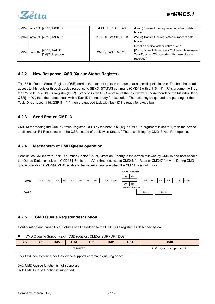

|                    | CMD46   adtc/R1   [20:16] TASK ID | <b>EXECUTE READ TASK</b> | (Read) Transmit the requested number of data              |
|--------------------|-----------------------------------|--------------------------|-----------------------------------------------------------|
|                    |                                   |                          | blocks                                                    |
| $\mathsf{I}$ CMD47 | adtc/R1   [20:16] TASK ID_        | EXECUTE WRITE TASK       | (Write) Transmit the requested number of data             |
|                    |                                   |                          | blocks                                                    |
| ▌CMD48丨ac/R1b丨     |                                   |                          | Reset a specific task or entire queue.                    |
|                    | [20:16] Task ID                   | CMDQ TASK MGMT           | $\vert$ [20:16] when TM op-code = 2h these bits represent |
|                    | $[3:0]$ TM op-code                |                          | TaskID. When TM op-code $=$ 1h these bits are             |
|                    |                                   |                          | reserved."                                                |

### <span id="page-10-0"></span>**4.2.2 New Response: QSR (Queue Status Register)**

The 32-bit Queue Status Register (QSR) carries the state of tasks in the queue at a specific point in time. The host has read access to this register through device response to SEND\_STATUS command (CMD13 with bit[15]="1"), R1's argument will be the 32- bit Queue Status Register (QSR). Every bit in the QSR represents the task who's ID corresponds to the bit index. If bit QSR[i] = "0", then the queued task with a Task ID i is not ready for execution. The task may be queued and pending, or the Task ID is unused. If bit QSR[i] = "1", then the queued task with Task ID i is ready for execution.

### <span id="page-10-1"></span>**4.2.3 Send Status: CMD13**

CMD13 for reading the Queue Status Register (QSR) by the host. If bit[15] in CMD13's argument is set to 1, then the device shall send an R1 Response with the QSR instead of the Device Status. \* There is still legacy CMD13 with R` response.

### <span id="page-10-2"></span>**4.2.4 Mechanism of CMD Queue operation**

Host issues CMD44 with Task ID number, Sector, Count, Direction, Priority to the device followed by CMD45 and host checks the Queue Status check with CMD13 [15]bits to 1 . After that host issues CMD46 for Read or CMD47 for write During CMD queue operation, CMD44/CMD45 is able to be issued at anytime when the CMD line is not in use



### <span id="page-10-3"></span>**4.2.5 CMD Queue Register description**

Configuration and capability structures shall be added to the EXT\_CSD register, as described below

|  | CMD Queuing Support (EXT_CSD register: CMDQ_SUPPORT [308]) |  |  |
|--|------------------------------------------------------------|--|--|
|--|------------------------------------------------------------|--|--|

| Bit7     | Bit <sub>6</sub> | Bit <sub>5</sub> | Bit4 | Bit3 | Bit2 | Bit1                                          | Bit <sub>0</sub> |  |
|----------|------------------|------------------|------|------|------|-----------------------------------------------|------------------|--|
| Reserved |                  |                  |      |      |      | Queue supportability<br>$\sim$<br>JMD.<br>. . |                  |  |

This field indicates whether the device supports command queuing or not

0x0: CMD Queue function is not supported

0x1: CMD Queue function is supported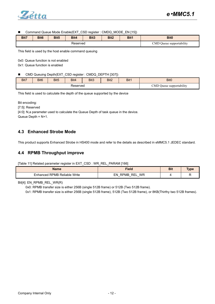

Command Queue Mode Enable(EXT\_CSD register : CMDQ\_MODE\_EN [15])

| Bit7     | Bit <sub>6</sub> | Bit <sub>5</sub> | Bit4 | Bit3 | Bit <sub>2</sub> | Bit1                                               | <b>Bit0</b> |
|----------|------------------|------------------|------|------|------------------|----------------------------------------------------|-------------|
| Reserved |                  |                  |      |      |                  | $\cdots$<br>CMD Oueue<br>$\epsilon$ supportability |             |

This field is used by the host enable command queuing

0x0: Queue function is not enabled

0x1: Queue function is enabled

■ CMD Queuing Depth(EXT\_CSD register : CMDQ\_DEPTH [307])

| Bit7     | Bit <sub>6</sub> | Bit <sub>5</sub> | Bit4 | Bit <sub>3</sub> | Bit2 | Bit1 | Bit <sub>0</sub>            |
|----------|------------------|------------------|------|------------------|------|------|-----------------------------|
| Reserved |                  |                  |      |                  |      |      | Queue supportability<br>CME |

This field is used to calculate the depth of the queue supported by the device

Bit encoding:

[7:5]: Reserved

[4:0]: N,a parameter used to calculate the Queue Depth of task queue in the device.

Queue Depth =  $N+1$ .

### <span id="page-11-0"></span>**4.3 Enhanced Strobe Mode**

This product supports Enhanced Strobe in HS400 mode and referto the details as described in eMMC5.1 JEDEC standard.

### <span id="page-11-1"></span>**4.4 RPMB Throughput improve**

[Table 11] Related parameter register in EXT\_CSD : WR\_REL\_PARAM [166]

| Name                                  | <b>Fiela</b>                                                             | <b>Bit</b> | <b>VDE</b> |
|---------------------------------------|--------------------------------------------------------------------------|------------|------------|
| `Reliable Write<br>ed RPMB:<br>∍∩ance | <b>REI</b><br><b>WR</b><br>ΞN<br><b>RPMB</b><br>$\overline{\phantom{0}}$ |            |            |

Bit[4]: EN\_RPMB\_REL\_WR(R)

0x0: RPMB transfer size is either 256B (single 512B frame) or 512B (Two 512B frame).

0x1: RPMB transfer size is either 256B (single 512B frame), 512B (Two 512B frame), or 8KB(Thirthy two 512B frames).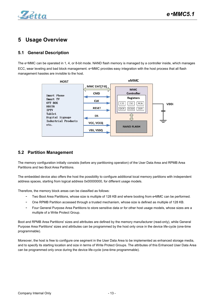

# <span id="page-12-0"></span>**5 Usage Overview**

# <span id="page-12-1"></span>**5.1 General Description**

The e•MMC can be operated in 1, 4, or 8-bit mode. NAND flash memory is managed by a controller inside, which manages ECC, wear leveling and bad block management. e•MMC provides easy integration with the host process that all flash management hassles are invisible to the host.



### <span id="page-12-2"></span>**5.2 Partition Management**

The memory configuration initially consists (before any partitioning operation) of the User Data Area and RPMB Area Partitions and two Boot Area Partitions.

The embedded device also offers the host the possibility to configure additional local memory partitions with independent address spaces, starting from logical address 0x00000000, for different usage models.

Therefore, the memory block areas can be classified as follows:

- Two Boot Area Partitions, whose size is multiple of 128 KB and where booting from e•MMC can be performed.
- One RPMB Partition accessed through a trusted mechanism, whose size is defined as multiple of 128 KB.
- Four General Purpose Area Partitions to store sensitive data or for other host usage models, whose sizes are a multiple of a Write Protect Group.

Boot and RPMB Area Partitions' sizes and attributes are defined by the memory manufacturer (read-only), while General Purpose Area Partitions' sizes and attributes can be programmed by the host only once in the device life-cycle (one-time programmable).

Moreover, the host is free to configure one segment in the User Data Area to be implemented as enhanced storage media, and to specify its starting location and size in terms of Write Protect Groups. The attributes of this Enhanced User Data Area can be programmed only once during the device life-cycle (one-time programmable).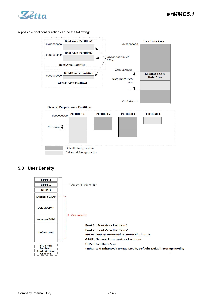

#### A possible final configuration can be the following:



### **5.3 User Density**

<span id="page-13-0"></span>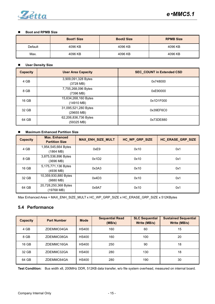

### **Boot and RPMB Size**

|         | <b>Boot1 Size</b> | <b>Boot2 Size</b> | <b>RPMB Size</b> |
|---------|-------------------|-------------------|------------------|
| Default | 4096 KB           | 4096 KB           | 4096 KB          |
| Max.    | 4096 KB           | 4096 KB           | 4096 KB          |

### **User Density Size**

| <b>Capacity</b> | <b>User Area Capacity</b>                    | <b>SEC_COUNT in Extended CSD</b> |  |
|-----------------|----------------------------------------------|----------------------------------|--|
| 4 GB            | 3,909,091,328 Bytes<br>$(3728 \text{ MB})$   | 0x748000                         |  |
| 8 GB            | 7,755,268,096 Bytes<br>(7396 MB)             | 0xE90000                         |  |
| 16 GB           | 15,634,268,160 Bytes<br>$(14910 \text{ MB})$ | 0x1D1F000                        |  |
| 32 GB           | 31,095,521,280 Bytes<br>(29655 MB)           | 0x39EF6C0                        |  |
| 64 GB           | 62,206,836,736 Bytes<br>(59325 MB)           | 0x73DE880                        |  |

### **Maximum Enhanced Partition Size**

| <b>Capacity</b> | <b>Max. Enhanced</b><br><b>Partition Size</b> | <b>MAX_ENH_SIZE_MULT</b> | HC_WP_GRP_SIZE | HC_ERASE_GRP_SIZE |
|-----------------|-----------------------------------------------|--------------------------|----------------|-------------------|
| 4 GB            | 1,954,545,664 Bytes<br>(1864 MB)              | 0xE9                     | 0x10           | 0x1               |
| 8 GB            | 3,875,536,896 Bytes<br>(3696 MB)              | 0x1D2                    | 0x10           | 0x1               |
| 16 GB           | 5,175,771,136 Bytes<br>(4936 MB)              | 0x3A3                    | 0x10           | 0x1               |
| 32 GB           | 10,359,930,880 Bytes<br>(9880 MB)             | 0x4D3                    | 0x10           | 0x1               |
| 64 GB           | 20,728,250,368 Bytes<br>(19768 MB)            | 0x9A7                    | 0x10           | 0x1               |

Max Enhanced Area = MAX\_ENH\_SIZE\_MULT x HC\_WP\_GRP\_SIZE x HC\_ERASE\_GRP\_SIZE x 512KBytes

### <span id="page-14-0"></span>**5.4 Performance**

| <b>Capacity</b> | <b>Part Number</b> | <b>Mode</b>  | <b>Sequential Read</b><br>(MB/s) | <b>SLC Sequential</b><br>Write (MB/s) | <b>Sustained Sequential</b><br>Write (MB/s) |
|-----------------|--------------------|--------------|----------------------------------|---------------------------------------|---------------------------------------------|
| 4 GB            | ZDEMMC04GA         | <b>HS400</b> | 160                              | 60                                    | 15                                          |
| 8 GB            | ZDEMMC08GA         | <b>HS400</b> | 160                              | 100                                   | 20                                          |
| 16 GB           | ZDEMMC16GA         | <b>HS400</b> | 250                              | 90                                    | 18                                          |
| 32 GB           | ZDEMMC32GA         | <b>HS400</b> | 280                              | 130                                   | 18                                          |
| 64 GB           | ZDEMMC64GA         | <b>HS400</b> | 280                              | 190                                   | 30                                          |

**Test Condition:** Bus width x8,200MHz DDR, 512KB data transfer, w/o file system overhead, measured on internal board.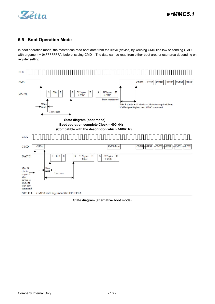

# <span id="page-15-0"></span>**5.5 Boot Operation Mode**

In boot operation mode, the master can read boot data from the slave (device) by keeping CMD line low or sending CMD0 with argument + 0xFFFFFFFA, before issuing CMD1. The data can be read from either boot area or user area depending on register setting.



**State diagram (alternative boot mode)**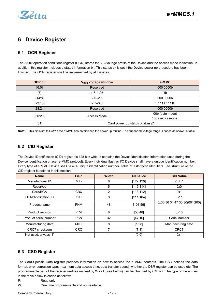

# <span id="page-16-0"></span>**6 Device Register**

# <span id="page-16-1"></span>**6.1 OCR Register**

The 32-bit operation conditions register (OCR) stores the V<sub>DD</sub> voltage profile of the Device and the access mode indication. In addition, this register includes a status information bit. This status bitis set if the Device power up procedure has been finished. The OCR register shall be implemented by all Devices.

| <b>OCR bit</b> | V <sub>cco</sub> voltage window  | e•MMC             |  |  |  |  |  |
|----------------|----------------------------------|-------------------|--|--|--|--|--|
| [6:0]          | Reserved                         | 000 0000b         |  |  |  |  |  |
| $[7]$          | $1.7 - 1.95$                     | 1b                |  |  |  |  |  |
| [14:8]         | $2.0 - 2.6$                      | 000 0000b         |  |  |  |  |  |
| [23:15]        | $2.7 - 3.6$                      | 1 1111 1111b      |  |  |  |  |  |
| [28:24]        | Reserved                         | 000 0000b         |  |  |  |  |  |
| [30:29]        | Access Mode                      | 00b (byte mode)   |  |  |  |  |  |
|                |                                  | 10b (sector mode) |  |  |  |  |  |
| $[31]$         | Card power up status bit (busy)* |                   |  |  |  |  |  |

Note<sup>\*</sup>: This bit is set to LOW if the e•MMC has not finished the power up routine. The supported voltage range is coded as shown in table.

# <span id="page-16-2"></span>**6.2 CID Register**

The Device IDentification (CID) register is 128 bits wide. It contains the Device identification information used during the Device identification phase (e•MMC protocol). Every individual flash or I/O Device shall have a unique identification number. Every type of e•MMC Device shall have a unique identification number. Table 75 lists these identifiers. The structure ofthe CID register is defined in this section.

| <b>Name</b>           | <b>Field</b>   | <b>Width</b> | <b>CID-slice</b> | <b>CID Value</b>            |
|-----------------------|----------------|--------------|------------------|-----------------------------|
| Manufacturer ID       | <b>MID</b>     | 8            | [127:120]        | 0xE7                        |
| Reserved              | $\blacksquare$ | 6            | [119:114]        | 0x0                         |
| Card/BGA              | <b>CBX</b>     | 2            | [113:112]        | 0x1                         |
| OEM/Application ID    | <b>OID</b>     | 8            | [111:104]        | 0x11                        |
| Product name          | <b>PNM</b>     | 48           | [103:56]         | 0x30 36 34 47 30 30(064G00) |
| Product revision      | <b>PRV</b>     | 8            | [55:48]          | 0x10                        |
| Product serial number | <b>PSN</b>     | 32           | [47:16]          | Serial number               |
| Manufacturing date    | <b>MDT</b>     | 8            | [15:8]           | Manufacturing date          |
| CRC7 checksum         | <b>CRC</b>     | 7            | [7:1]            | CRC7                        |
| Not used, always '1'  |                |              | [0:0]            | 0x1                         |

# <span id="page-16-3"></span>**6.3 CSD Register**

The Card-Specific Data register provides information on how to access the e•MMC contents. The CSD defines the data format, error correction type, maximum data access time, data transfer speed, whether the DSR register can be used etc. The programmable part of the register (entries marked by W or E, see below) can be changed by CMD27.The type of the entries in the table below is coded as follows:

- R: Read only
- W: One time programmable and not readable.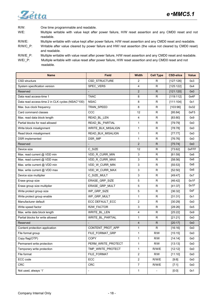

R/W: One time programmable and readable. W/E: Multiple writable with value kept after power failure, H/W reset assertion and any CMD0 reset and not readable. R/W/E: Multiple writable with value kept after power failure, H/W reset assertion and any CMD0 reset and readable. R/W/C\_P: Writable after value cleared by power failure and HW/ rest assertion (the value not cleared by CMD0 reset) and readable. R/W/E\_P: Multiple writable with value reset after power failure, H/W reset assertion and any CMD0 reset and readable. W/E/\_P: Multiple writable with value reset after power failure, H/W reset assertion and any CMD0 reset and not

readable.

| <b>Name</b>                                      | <b>Field</b>       | Width          | <b>Cell Type</b>         | <b>CSD-slice</b> | Value |
|--------------------------------------------------|--------------------|----------------|--------------------------|------------------|-------|
| CSD structure                                    | CSD STRUCTURE      | $\overline{2}$ | R                        | [127:126]        | 0x3   |
| System specification version                     | SPEC_VERS          | 4              | R                        | [125:122]        | 0x4   |
| Reserved                                         |                    | $\overline{2}$ | ${\sf R}$                | [121:120]        | 0x0   |
| Data read access-time 1                          | <b>TAAC</b>        | 8              | R                        | [119:112]        | 0x4F  |
| Data read access-time 2 in CLK cycles (NSAC*100) | <b>NSAC</b>        | 8              | ${\sf R}$                | [111:104]        | 0x1   |
| Max. bus clock frequency                         | TRAN_SPEED         | 8              | R                        | [103:96]         | 0x32  |
| Card command classes                             | CCC                | 12             | $\mathsf R$              | [95:84]          | 0xF5  |
| Max. read data block length                      | READ_BL_LEN        | 4              | $\mathsf R$              | [83:80]          | 0x9   |
| Partial blocks for read allowed                  | READ_BL_PARTIAL    | $\mathbf{1}$   | R                        | [79:79]          | 0x0   |
| Write block misalignment                         | WRITE_BLK_MISALIGN | $\mathbf{1}$   | $\mathsf R$              | [78:78]          | 0x0   |
| Read block misalignment                          | READ_BLK_MISALIGN  | $\mathbf{1}$   | R                        | [77:77]          | 0x0   |
| DSR implemented                                  | DSR_IMP            | $\mathbf{1}$   | R                        | [76:76]          | 0x0   |
| Reserved                                         |                    | $\overline{2}$ | ${\sf R}$                | [75:74]          | 0x0   |
| Device size                                      | C_SIZE             | 12             | ${\sf R}$                | [73:62]          | 0xFFF |
| Max. read current @ VDD min                      | VDD_R_CURR_MIN     | 3              | $\mathsf R$              | [61:59]          | 0x6   |
| Max. read current @ VDD max                      | VDD_R_CURR_MAX     | 3              | R                        | [58:56]          | 0x6   |
| Max. write current @ VDD min                     | VDD_W_CURR_MIN     | 3              | $\mathsf R$              | [55:53]          | 0x6   |
| Max. write current @ VDD max                     | VDD W CURR MAX     | 3              | R                        | [52:50]          | 0x6   |
| Device size multiplier                           | C_SIZE_MULT        | 3              | ${\sf R}$                | [49:47]          | 0x7   |
| Erase group size                                 | ERASE_GRP_SIZE     | 5              | R                        | [46:42]          | 0x1F  |
| Erase group size multiplier                      | ERASE_GRP_MULT     | 5              | R                        | [41:37]          | 0x1F  |
| Write protect group size                         | WP_GRP_SIZE        | 5              | $\mathsf R$              | [36:32]          | 0xF   |
| Write protect group enable                       | WP_GRP_MULT        | $\mathbf{1}$   | R                        | [31:31]          | 0x1   |
| Manufacturer default                             | ECC DEFAULT_ECC    | $\overline{2}$ | ${\sf R}$                | [30:29]          | 0x0   |
| Write speed factor                               | R2W_FACTOR         | 3              | R                        | [28:26]          | 0x5   |
| Max. write data block length                     | WRITE_BL_LEN       | 4              | R                        | [25:22]          | 0x9   |
| Partial blocks for write allowed                 | WRITE_BL_PARTIAL   | $\mathbf{1}$   | $\mathsf R$              | [21:21]          | 0x0   |
| Reserved                                         |                    | $\overline{4}$ | ${\sf R}$                | [20:17]          | 0x0   |
| Content protection application                   | CONTENT_PROT_APP   | 1              | R                        | [16:16]          | 0x0   |
| File format group                                | FILE_FORMAT_GRP    | $\mathbf{1}$   | R/W                      | [15:15]          | 0x0   |
| Copy flag(OTP)                                   | <b>COPY</b>        | $\mathbf{1}$   | R/W                      | [14:14]          | 0x0   |
| Permanent write protection                       | PERM WRITE PROTECT | $\mathbf{1}$   | R/W                      | [13:13]          | 0x0   |
| Temporary write protection                       | TMP_WRITE_PROTECT  | $\mathbf{1}$   | R/W/E                    | [12:12]          | 0x0   |
| File format                                      | FILE FORMAT        | $\overline{2}$ | R/W                      | [11:10]          | 0x0   |
| ECC code                                         | ECC                | $\overline{2}$ | R/W/E                    | [9:8]            | 0x0   |
| <b>CRC</b>                                       | <b>CRC</b>         | $\overline{7}$ | R/W/E                    | [7:1]            | 0x0   |
| Not used, always '1'                             |                    | $\mathbf{1}$   | $\overline{\phantom{a}}$ | [0:0]            | 0x1   |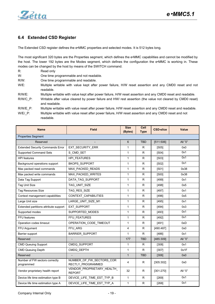

# <span id="page-18-0"></span>**6.4 Extended CSD Register**

The Extended CSD register defines the e•MMC properties and selected modes. It is 512 bytes long.

The most significant 320 bytes are the Properties segment, which defines the e•MMC capabilities and cannot be modified by the host. The lower 192 bytes are the Modes segment, which defines the configuration the e•MMC is working in. These modes can be changed by the host by means of the SWITCH command.

R: Read only

W: One time programmable and not readable.

R/W: One time programmable and readable.

- W/E: Multiple writable with value kept after power failure, H/W reset assertion and any CMD0 reset and not readable.
- R/W/E: Multiple writable with value kept after power failure, H/W reset assertion and any CMD0 reset and readable.
- R/W/C\_P: Writable after value cleared by power failure and HW/ rest assertion (the value not cleared by CMD0 reset) and readable.

R/W/E\_P: Multiple writable with value reset after power failure, H/W reset assertion and any CMD0 reset and readable. W/E/ P: Multiple writable with value reset after power failure, H/W reset assertion and any CMD0 reset and not readable.

| <b>Name</b>                                  | <b>Field</b>                                  | <b>Size</b><br>(Bytes) | Cell<br><b>Type</b> | <b>CSD-slice</b> | Value   |
|----------------------------------------------|-----------------------------------------------|------------------------|---------------------|------------------|---------|
| <b>Properties Segment</b>                    |                                               |                        |                     |                  |         |
| Reserved                                     |                                               | 6                      | <b>TBD</b>          | [511:506]        | All "0" |
| <b>Extended Security Commands Error</b>      | EXT SECURITY ERR                              | $\mathbf{1}$           | R                   | [505]            | 0x0     |
| <b>Supported Command Sets</b>                | S_CMD_SET                                     | 1                      | $\mathsf{R}$        | [504]            | 0x1     |
| <b>HPI</b> features                          | HPI FEATURES                                  | $\mathbf{1}$           | R                   | [503]            | 0x1     |
| Background operations support                | <b>BKOPS SUPPORT</b>                          | 1                      | $\mathsf{R}$        | [502]            | 0x1     |
| Max packed read commands                     | MAX PACKED READS                              | 1                      | $\mathsf{R}$        | [501]            | 0x38    |
| Max packed write commands                    | MAX PACKED WRITES                             | 1                      | $\mathsf{R}$        | $[500]$          | 0x38    |
| Data Tag Support                             | DATA TAG SUPPORT                              | $\mathbf{1}$           | $\mathsf R$         | [499]            | 0x1     |
| Tag Unit Size                                | TAG_UNIT_SIZE                                 | 1                      | $\mathsf{R}$        | [498]            | 0x5     |
| Tag Resources Size                           | TAG_RES_SIZE                                  | $\mathbf{1}$           | R                   | [497]            | 0x1     |
| Context management capabilities              | CONTEXT_CAPABILITIES                          | 1                      | $\mathsf{R}$        | [496]            | 0x5     |
| Large Unit size                              | LARGE_UNIT_SIZE_M1                            | 1                      | R                   | [495]            | 0x1     |
| Extended partitions attribute support        | EXT SUPPORT                                   | $\mathbf{1}$           | $\mathsf{R}$        | $[494]$          | 0x3     |
| Supported modes                              | SUPPORTED MODES                               | 1                      | $\mathsf{R}$        | [493]            | 0x1     |
| FFU features                                 | FFU FEATURES                                  | 1                      | $\mathsf{R}$        | [492]            | 0x1     |
| Operation codes timeout                      | OPERATION CODE TIMEOUT                        | $\mathbf{1}$           | $\mathsf{R}$        | [491]            | 0xD     |
| FFU Argument                                 | FFU ARG                                       | 4                      | $\mathsf{R}$        | [490:487]        | 0x0     |
| Barrier support                              | BARRIER_SUPPORT                               | 1                      | $\mathsf{R}$        | [486]            | 0x1     |
| Reserved                                     |                                               | 177                    | <b>TBD</b>          | [485:309]        | All "0" |
| <b>CMD Queuing Support</b>                   | CMDQ_SUPPORT                                  | 1                      | R                   | $[308]$          | 0x1     |
| <b>CMD Queuing Depth</b>                     | CMDQ DEPTH                                    | 1                      | R                   | $[307]$          | 0x1F    |
| Reserved                                     |                                               | $\mathbf{1}$           | <b>TBD</b>          | $[306]$          | 0x0     |
| Number of FW sectors correctly<br>programmed | NUMBER OF FW SECTORS COR<br>RECTLY PROGRAMMED | $\overline{4}$         | $\mathsf{R}$        | [305:302]        | 0x0     |
| Vendor proprietary health report             | VENDOR_PROPRIETARY_HEALTH_<br><b>REPORT</b>   | 32                     | $\mathsf{R}$        | [301:270]        | All "0" |
| Device life time estimation type B           | DEVICE_LIFE_TIME_EST_TYP_B                    | $\mathbf{1}$           | $\mathsf{R}$        | [269]            | 0x1     |
| Device life time estimation type A           | DEVICE_LIFE_TIME_EST_TYP_A                    | $\mathbf{1}$           | R                   | [268]            | 0x1     |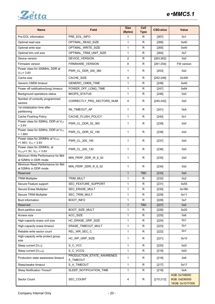

| <b>Name</b>                                                      | <b>Field</b>                           | <b>Size</b><br>(Bytes) | Cell<br><b>Type</b> | <b>CSD-slice</b> | <b>Value</b>                                      |  |
|------------------------------------------------------------------|----------------------------------------|------------------------|---------------------|------------------|---------------------------------------------------|--|
| Pre EOL information                                              | PRE EOL INFO                           | 1                      | R                   | [267]            | 0x1                                               |  |
| Optimal read size                                                | OPTIMAL READ SIZE                      | $\mathbf{1}$           | R                   | [266]            | 0x40                                              |  |
| Optimal write size                                               | OPTIMAL_WRITE_SIZE                     | $\mathbf{1}$           | $\mathsf{R}$        | [265]            | 0x40                                              |  |
| Optimal trim unit size                                           | OPTIMAL_TRIM_UNIT_SIZE                 | $\mathbf{1}$           | $\mathsf{R}$        | [264]            | 0x7                                               |  |
| Device version                                                   | DEVICE_VERSION                         | $\overline{2}$         | R                   | [263:262]        | 0x0                                               |  |
| Firmware version                                                 | FIRMWARE_VERSION                       | 8                      | $\mathsf{R}$        | [261:254]        | FW version                                        |  |
| Power class for 200MHz, DDR at<br>$V_{CC} = 3.6V$                | PWR_CL_DDR_200_360                     | 1                      | R                   | $[253]$          | 0x0                                               |  |
| Cache size                                                       | CACHE SIZE                             | $\overline{4}$         | $\mathsf{R}$        | [252:249]        | 0x300                                             |  |
| Generic CMD6 timeout                                             | GENERIC_CMD6_TIME                      | $\mathbf{1}$           | R                   | $[248]$          | 0x40                                              |  |
| Power off notification(long) timeout                             | POWER_OFF_LONG_TIME                    | $\mathbf{1}$           | R                   | $[247]$          | 0x64                                              |  |
| Background operations status                                     | <b>BKOPS STATUS</b>                    | $\mathbf{1}$           | $\mathsf{R}$        | $[246]$          | 0x0                                               |  |
| Number of correctly programmed<br>sectors                        | CORRECTLY_PRG_SECTORS_NUM              | 4                      | R                   | [245:242]        | 0x0                                               |  |
| 1st initialization time after<br>partitioning                    | INI_TIMEOUT_AP                         | $\mathbf{1}$           | R                   | [241]            | 0xA                                               |  |
| <b>Cache Flushing Policy</b>                                     | CACHE FLUSH POLICY                     | $\mathbf{1}$           | ${\sf R}$           | $[240]$          | 0x1                                               |  |
| Power class for 52MHz, DDR at V <sub>cc</sub><br>$= 3.6V$        | PWR_CL_DDR_52_360                      | 1                      | R                   | [239]            | 0x0                                               |  |
| Power class for 52MHz, DDR at V <sub>CC</sub><br>$= 1.95V$       | PWR_CL_DDR_52_195                      | 1                      | $\mathsf{R}$        | [238]            | 0x0                                               |  |
| Power class for 200MHz at Vcco<br>=1.95V, $V_{CC}$ = 3.6V        | PWR_CL_200_195                         | $\mathbf{1}$           | $\mathsf{R}$        | [237]            | 0x0                                               |  |
| Power class for 200MHz, at<br>$V_{CCQ} = 1.3V$ , $V_{CC} = 3.6V$ | PWR_CL_200_130                         | $\mathbf{1}$           | ${\sf R}$           | $[236]$          | 0x0                                               |  |
| Minimum Write Performance for 8bit<br>at 52MHz in DDR mode       | MIN_PERF_DDR_W_8_52                    | $\mathbf{1}$           | $\mathsf{R}$        | $[235]$          | 0x0                                               |  |
| Minimum Read Performance for 8bit<br>at 52MHz in DDR mode        | MIN_PERF_DDR_R_8_52                    | $\mathbf{1}$           | $\mathsf R$         | [234]            | 0x0                                               |  |
| Reserved                                                         |                                        | $\mathbf{1}$           | <b>TBD</b>          | $[233]$          | 0x0                                               |  |
| <b>TRIM Multiplier</b>                                           | TRIM MULT                              | $\mathbf{1}$           | $\mathsf{R}$        | $[232]$          | 0x2                                               |  |
| Secure Feature support                                           | SEC_FEATURE_SUPPORT                    | $\mathbf{1}$           | $\mathsf{R}$        | [231]            | 0x55                                              |  |
| Secure Erase Multiplier                                          | SEC_ERASE_MULT                         | $\mathbf{1}$           | ${\sf R}$           | $[230]$          | 0x1Bh                                             |  |
| Secure TRIM Multiplier                                           | SEC_TRIM_MULT                          | $\mathbf{1}$           | R                   | [229]            | 0x11                                              |  |
| Boot information                                                 | <b>BOOT INFO</b>                       | $\mathbf{1}$           | R                   | $[228]$          | 0x7                                               |  |
| Reserved                                                         |                                        | $\mathbf{1}$           | <b>TBD</b>          | $[227]$          | 0x0                                               |  |
| Boot partition size                                              | BOOT_SIZE_MULT                         | $\mathbf{1}$           | $\mathsf R$         | $[226]$          | 0x20                                              |  |
| Access size                                                      | ACC_SIZE                               | $\mathbf{1}$           | R                   | $[225]$          | 0x6                                               |  |
| High-capacity erase unit size                                    | HC_ERASE_GRP_SIZE                      | $\mathbf{1}$           | R                   | [224]            | 0x1                                               |  |
| High-capacity erase timeout                                      | ERASE TIMEOUT MULT                     | $\mathbf{1}$           | R                   | $[223]$          | 0x1                                               |  |
| Reliable write sector count                                      | REL_WR_SEC_C                           | $\mathbf{1}$           | $\mathsf R$         | [222]            | 0x1                                               |  |
| High-capacity write protect group<br>size                        | HC_WP_GRP_SIZE                         | 1                      | $\mathsf R$         | [221]            | 0x10                                              |  |
| Sleep current [Vcc]                                              | S_C_VCC                                | $\mathbf{1}$           | R                   | [220]            | 0xD                                               |  |
| Sleep current [Vcco]                                             | S_C_VCCQ                               | $\mathbf{1}$           | R                   | $[219]$          | 0xD                                               |  |
| Production state awareness timeout                               | PRODUCTION_STATE_AWARENES<br>S_TIMEOUT | 1                      | R                   | $[218]$          | 0x6                                               |  |
| Sleep/awake timeout                                              | S_A_TIMEOUT                            | $\mathbf{1}$           | R                   | [217]            | 0x17                                              |  |
| Sleep Notification Timout1                                       | SLEEP_NOTIFICATION_TIME                | $\mathbf{1}$           | ${\sf R}$           | $[216]$          | 0xA                                               |  |
| Sector Count                                                     | SEC_COUNT                              | 4                      | $\mathsf{R}$        | [215:212]        | 4GB: 0x748000<br>8GB: 0xE90000<br>16GB: 0x1D1F000 |  |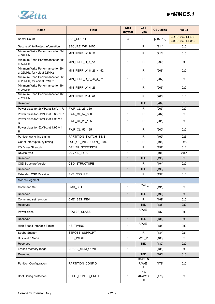

| <b>Name</b>                                                       | <b>Field</b>          | <b>Size</b><br>(Bytes) | Cell<br><b>Type</b>              | <b>CSD-slice</b> | Value                              |
|-------------------------------------------------------------------|-----------------------|------------------------|----------------------------------|------------------|------------------------------------|
| Sector Count                                                      | SEC_COUNT             | 4                      | R                                | [215:212]        | 32GB: 0x39EF6C0<br>64GB: 0x73DE880 |
| Secure Write Protect Information                                  | SECURE_WP_INFO        | $\mathbf{1}$           | $\mathsf{R}$                     | [211]            | 0x0                                |
| Minimum Write Performance for 8bit<br>at 52MHz                    | MIN_PERF_W_8_52       | 1                      | R                                | $[210]$          | 0x0                                |
| Minimum Read Performance for 8bit<br>at 52MHz                     | MIN_PERF_R_8_52       | $\mathbf{1}$           | R                                | $[209]$          | 0x0                                |
| Minimum Write Performance for 8bit<br>at 26MHz, for 4bit at 52MHz | MIN_PERF_W_8_26_4_52  | $\mathbf{1}$           | R                                | $[208]$          | 0x0                                |
| Minimum Read Performance for 8bit<br>at 26MHz, for 4bit at 52MHz  | MIN_PERF_R_8_26_4_52  | $\mathbf{1}$           | R                                | $[207]$          | 0x0                                |
| Minimum Write Performance for 4bit<br>at 26MHz                    | MIN_PERF_W_4_26       | $\mathbf{1}$           | $\mathsf{R}$                     | $[206]$          | 0x0                                |
| Minimum Read Performance for 4bit<br>at 26MHz                     | MIN_PERF_R_4_26       | $\mathbf{1}$           | R                                | [205]            | 0x0                                |
| Reserved                                                          |                       | $\mathbf{1}$           | <b>TBD</b>                       | $[204]$          | 0x0                                |
| Power class for 26MHz at 3.6 V 1 R                                | PWR_CL_26_360         | $\mathbf{1}$           | R                                | $[203]$          | 0x0                                |
| Power class for 52MHz at 3.6 V 1 R                                | PWR_CL_52_360         | $\mathbf{1}$           | R                                | $[202]$          | 0x0                                |
| Power class for 26MHz at 1.95 V 1<br>R                            | PWR CL 26 195         | $\mathbf{1}$           | R                                | $[201]$          | 0x0                                |
| Power class for 52MHz at 1.95 V 1<br>R                            | PWR_CL_52_195         | $\mathbf{1}$           | R                                | $[200]$          | 0x0                                |
| Partition switching timing                                        | PARTITION_SWITCH_TIME | $\mathbf{1}$           | R                                | [199]            | 0x6                                |
| Out-of-interrupt busy timing                                      | OUT_OF_INTERRUPT_TIME | $\mathbf{1}$           | ${\sf R}$                        | [198]            | 0xA                                |
| I/O Driver Strength                                               | DRIVER_STRENGTH       | $\mathbf{1}$           | R                                | [197]            | 0x1                                |
| Device type                                                       | DEVICE_TYPE           | $\mathbf{1}$           | $\mathsf{R}$                     | [196]            | 0x57                               |
| Reserved                                                          |                       | $\mathbf{1}$           | <b>TBD</b>                       | [195]            | 0x0                                |
| <b>CSD Structure Version</b>                                      | CSD_STRUCTURE         | $\mathbf{1}$           | $\mathsf{R}$                     | [194]            | 0x2                                |
| Reserved                                                          |                       | $\mathbf{1}$           | <b>TBD</b>                       | [193]            | 0x0                                |
| <b>Extended CSD Revision</b>                                      | EXT_CSD_REV           | 1                      | $\mathsf{R}$                     | $[192]$          | 0x8                                |
| <b>Modes Segment</b>                                              |                       |                        |                                  |                  |                                    |
| <b>Command Set</b>                                                | CMD_SET               | $\mathbf{1}$           | R/W/E<br>P                       | [191]            | 0x0                                |
| Reserved                                                          |                       | $\mathbf{1}$           | <b>TBD</b>                       | $[190]$          | 0x0                                |
| Command set revision                                              | CMD_SET_REV           |                        | $\mathsf R$                      | [189]            | 0x0                                |
| Reserved                                                          |                       | $\mathbf{1}$           | <b>TBD</b>                       | [188]            | 0x0                                |
| Power class                                                       | POWER_CLASS           |                        | R/W/E<br>P                       | [187]            | 0x0                                |
| Reserved                                                          |                       | $\mathbf{1}$           | <b>TBD</b>                       | $[186]$          | 0x0                                |
| High Speed Interface Timing                                       | HS TIMING             | 1                      | R/W/E<br>P                       | [185]            | 0x0                                |
| Strobe Support                                                    | STROBE_SUPPORT        | $\mathbf{1}$           | R                                | $[184]$          | 0x1                                |
| <b>Bus Width Mode</b>                                             | <b>BUS_WIDTH</b>      | $\mathbf{1}$           | W/E_P                            | [183]            | 0x0                                |
| Reserved                                                          |                       | $\mathbf{1}$           | <b>TBD</b>                       | [182]            | 0x0                                |
| Erased memory range                                               | ERASE_MEM_CONT        | $\mathbf{1}$           | R                                | [181]            | 0x0                                |
| Reserved                                                          |                       | $\mathbf{1}$           | <b>TBD</b>                       | $[180]$          | 0x0                                |
| <b>Partition Configuration</b>                                    | PARTITION_CONFIG      | $\mathbf{1}$           | <b>R/W/E &amp;</b><br>R/W/E<br>P | $[179]$          | 0x0                                |
| Boot Config protection                                            | BOOT_CONFIG_PROT      | $\mathbf{1}$           | R/W<br>&R/W/C<br>P               | $[178]$          | 0x0                                |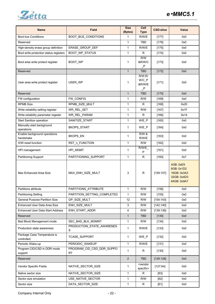

| <b>Name</b>                               | <b>Field</b>                    | <b>Size</b><br>(Bytes) | Cell<br><b>Type</b>                 | <b>CSD-slice</b> | Value                                                                |
|-------------------------------------------|---------------------------------|------------------------|-------------------------------------|------------------|----------------------------------------------------------------------|
| <b>Boot bus Conditions</b>                | BOOT_BUS_CONDITIONS             | $\mathbf{1}$           | R/W/E                               | [177]            | 0x0                                                                  |
| Reserved                                  |                                 | $\mathbf{1}$           | TBD                                 | [176]            | 0x0                                                                  |
| High-density erase group definition       | ERASE_GROUP_DEF                 | $\mathbf{1}$           | R/W/E                               | $[175]$          | 0x0                                                                  |
| Boot write protection status registers    | BOOT_WP_STATUS                  | $\mathbf{1}$           | R                                   | $[174]$          | 0x0                                                                  |
| Boot area write protect register          | BOOT WP                         | $\mathbf{1}$           | R/W<br>&R/W/C<br>P                  | $[173]$          | 0x0                                                                  |
| Reserved                                  |                                 | $\mathbf{1}$           | <b>TBD</b>                          | [172]            | 0x0                                                                  |
| User area write protect register          | USER_WP                         | 1                      | R/W, R/<br>$W/C_P$<br>&R/W/E<br>P   | $[171]$          | 0x0                                                                  |
| Reserved                                  |                                 | $\mathbf{1}$           | <b>TBD</b>                          | [170]            | 0x0                                                                  |
| FW configuration                          | FW_CONFIG                       | $\mathbf{1}$           | R/W                                 | $[169]$          | 0x0                                                                  |
| <b>RPMB Size</b>                          | RPMB SIZE MULT                  | $\mathbf{1}$           | R                                   | [168]            | 0x20                                                                 |
| Write reliability setting register        | WR REL SET                      | $\mathbf{1}$           | R/W                                 | [167]            | 0x1F                                                                 |
| Write reliability parameter register      | WR_REL_PARAM                    | $\mathbf{1}$           | $\mathsf{R}$                        | [166]            | 0x14                                                                 |
| Start Sanitize operation                  | SANITIZE START                  | $\mathbf{1}$           | W/E P                               | [165]            | 0x0                                                                  |
| Manually start background<br>operations   | BKOPS_START                     | $\mathbf{1}$           | W/E P                               | [164]            | 0x0                                                                  |
| Enable background operations<br>handshake | BKOPS_EN                        | $\mathbf{1}$           | <b>R/W &amp;</b><br>R/W/E           | $[163]$          | 0x0                                                                  |
| H/W reset function                        | RST n FUNCTION                  | $\mathbf{1}$           | R/W                                 | $[162]$          | 0x0                                                                  |
| HPI management                            | HPI_MGMT                        | 1                      | R/W/E<br>P                          | [161]            | 0x0                                                                  |
| Partitioning Support                      | PARTITIONING_SUPPORT            | $\mathbf{1}$           | R                                   | [160]            | 0x7                                                                  |
| Max Enhanced Area Size                    | MAX_ENH_SIZE_MULT               | 3                      | $\mathsf{R}$                        | [159:157]        | 4GB: 0xE9<br>8GB: 0x1D2<br>16GB: 0x3A3<br>32GB: 0x4D3<br>64GB: 0x9A7 |
| Partitions attribute                      | PARTITIONS_ATTRIBUTE            | 1                      | R/W                                 | $[156]$          | 0x0                                                                  |
| <b>Partitioning Setting</b>               | PARTITION_SETTING_COMPLETED     | $\mathbf{1}$           | R/W                                 | $[155]$          | 0x0                                                                  |
| <b>General Purpose Partition Size</b>     | GP_SIZE_MULT                    | 12                     | R/W                                 | [154:143]        | 0x0                                                                  |
| Enhanced User Data Area Size              | ENH_SIZE_MULT                   | 3                      | R/W                                 | [142:140]        | 0x0                                                                  |
| <b>Enhanced User Data Start Address</b>   | ENH START ADDR                  | 4                      | R/W                                 | [139:136]        | 0x0                                                                  |
| Reserved                                  |                                 | $\mathbf{1}$           | <b>TBD</b>                          | [135]            | 0x0                                                                  |
| Bad Block Management mode                 | SEC_BAD_BLK_MGMNT               | 1                      | R/W                                 | [134]            | 0x0                                                                  |
| Production state awareness                | PRODUCTION_STATE_AWARENES<br>S  | 1                      | R/W/E                               | [133]            | 0x0                                                                  |
| Package Case Temperature is<br>controlled | <b>TCASE SUPPORT</b>            | 1                      | W/E_P                               | [132]            | 0x0                                                                  |
| Periodic Wake-up                          | PERIODIC_WAKEUP                 | $\mathbf{1}$           | R/W/E                               | [131]            | 0x0                                                                  |
| Program CID/CSD in DDR mode<br>support    | PROGRAM_CID_CSD_DDR_SUPPO<br>RT | 1                      | $\mathsf R$                         | $[130]$          | 0x0                                                                  |
| Reserved                                  |                                 | $\overline{2}$         | <b>TBD</b>                          | [129:128]        | 0x0                                                                  |
| Vendor Specific Fields                    | NATIVE_SECTOR_SIZE              | $\mathbf{1}$           | <vendor<br>specific&gt;</vendor<br> | [127:64]         | 0x0                                                                  |
| Native sector size                        | NATIVE_SECTOR_SIZE              | 1                      | $\mathsf R$                         | $[63]$           | 0x0                                                                  |
| Sector size emulation                     | USE_NATIVE_SECTOR               | $\mathbf{1}$           | R/W                                 | $[62]$           | 0x0                                                                  |
| Sector size                               | DATA_SECTOR_SIZE                | 1                      | R                                   | $[61]$           | 0x0                                                                  |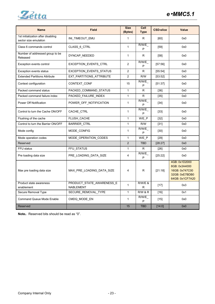

| <b>Name</b>                                                 | <b>Field</b>                                  | <b>Size</b><br>(Bytes) | Cell<br><b>Type</b>     | <b>CSD-slice</b> | <b>Value</b>                                                                          |
|-------------------------------------------------------------|-----------------------------------------------|------------------------|-------------------------|------------------|---------------------------------------------------------------------------------------|
| 1st initialization after disabling<br>sector size emulation | INI_TIMEOUT_EMU                               | 1                      | R                       | [60]             | 0x0                                                                                   |
| Class 6 commands control                                    | CLASS_6_CTRL                                  | $\mathbf{1}$           | R/W/E<br>P              | [59]             | 0x0                                                                                   |
| Number of addressed group to be<br>Released                 | DYNCAP_NEEDED                                 | $\mathbf{1}$           | R                       | $[58]$           | 0x0                                                                                   |
| Exception events control                                    | <b>EXCEPTION EVENTS CTRL</b>                  | 2                      | R/W/E<br>P              | [57:56]          | 0x0                                                                                   |
| Exception events status                                     | EXCEPTION EVENTS STATUS                       | $\overline{c}$         | ${\sf R}$               | [55:54]          | 0x0                                                                                   |
| <b>Extended Partitions Attribute</b>                        | EXT_PARTITIONS_ATTRIBUTE                      | 2                      | R/W                     | [53:52]          | 0x0                                                                                   |
| Context configuration                                       | CONTEXT CONF                                  | 15                     | R/W/E<br>P              | [51:37]          | 0x0                                                                                   |
| Packed command status                                       | PACKED_COMMAND_STATUS                         | $\mathbf{1}$           | R                       | $[36]$           | 0x0                                                                                   |
| Packed command failure index                                | PACKED_FAILURE_INDEX                          | $\mathbf{1}$           | $\mathsf R$             | $[35]$           | 0x0                                                                                   |
| Power Off Notification                                      | POWER_OFF_NOTIFICATION                        | $\mathbf{1}$           | R/W/E<br>P              | $[34]$           | 0x0                                                                                   |
| Control to turn the Cache ON/OFF                            | CACHE_CTRL                                    | $\mathbf{1}$           | R/W/E<br>P              | $[33]$           | 0x0                                                                                   |
| Flushing of the cache                                       | FLUSH_CACHE                                   | $\mathbf{1}$           | W/E_P                   | $[32]$           | 0x0                                                                                   |
| Control to turn the Barrier ON/OFF                          | <b>BARRIER CTRL</b>                           | $\mathbf{1}$           | R/W                     | $[31]$           | 0x0                                                                                   |
| Mode config                                                 | MODE CONFIG                                   | $\mathbf{1}$           | R/W/E<br>P              | $[30]$           | 0x0                                                                                   |
| Mode operation codes                                        | MODE OPERATION CODES                          | $\mathbf{1}$           | W/E P                   | $[29]$           | 0x0                                                                                   |
| Reserved                                                    |                                               | 2                      | <b>TBD</b>              | [28:27]          | 0x0                                                                                   |
| FFU status                                                  | FFU STATUS                                    | $\mathbf{1}$           | $\mathsf{R}$            | $[26]$           | 0x0                                                                                   |
| Pre loading data size                                       | PRE_LOADING_DATA_SIZE                         | $\overline{4}$         | R/W/E<br>P              | [25:22]          | 0x0                                                                                   |
| Max pre loading data size                                   | MAX_PRE_LOADING_DATA_SIZE                     | 4                      | R                       | [21:18]          | 4GB: 0x1D2000<br>8GB: 0x3A4000<br>16GB: 0x747C00<br>32GB: 0xE7BDB0<br>64GB: 0x1CF7A20 |
| Product state awareness<br>enablement                       | PRODUCT_STATE_AWARENESS_E<br><b>NABLEMENT</b> | $\mathbf{1}$           | <b>R/W/E &amp;</b><br>R | $[17]$           | 0x3                                                                                   |
| Secure Removal Type                                         | SECURE_REMOVAL_TYPE                           | $\mathbf{1}$           | R/W & R                 | $[16]$           | 0x1                                                                                   |
| <b>Command Queue Mode Enable</b>                            | CMDQ_MODE_EN                                  | $\mathbf{1}$           | R/W/E<br>P              | $[15]$           | 0x0                                                                                   |
| Reserved                                                    |                                               | 15                     | <b>TBD</b>              | [14:0]           | 0x0                                                                                   |

**Note:** Reserved bits should be read as "0".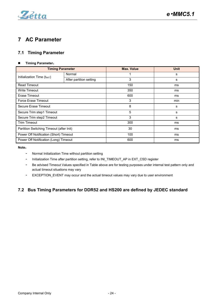

# <span id="page-23-0"></span>**7 AC Parameter**

# <span id="page-23-1"></span>**7.1 Timing Parameter**

### **Timing Parameter**:

| <b>Timing Parameter</b>                  |                         | <b>Max. Value</b> | <b>Unit</b> |
|------------------------------------------|-------------------------|-------------------|-------------|
| Initialization Time $(t_{\text{INIT}})$  | Normal                  |                   | s           |
|                                          | After partition setting | 3                 | s           |
| <b>Read Timeout</b>                      |                         | 150               | ms          |
| <b>Write Timeout</b>                     |                         | 350               | ms          |
| Erase Timeout                            |                         | 600               | ms          |
| Force Erase Timeout                      |                         | 3                 | min         |
| Secure Erase Timeout                     |                         | 8                 | s           |
| Secure Trim step1 Timeout                |                         | 5                 | s           |
| Secure Trim step2 Timeout                |                         | 3                 | s           |
| <b>Trim Timeout</b>                      |                         | 300               | ms          |
| Partition Switching Timeout (after Init) |                         | 30                | ms          |
| Power Off Notification (Short) Timeout   |                         | 100               | ms          |
| Power Off Notification (Long) Timeout    |                         | 600               | ms          |

### **Note**:

- Normal Initialization Time without partition setting
- Initialization Time after partition setting, refer to INI\_TIMEOUT\_AP in EXT\_CSD register
- Be advised Timeout Values specified in Table above are for testing purposes under internal test pattern only and actual timeout situations may vary
- EXCEPTION\_EVENT may occur and the actual timeout values may vary due to user environment

# <span id="page-23-2"></span>**7.2 Bus Timing Parameters for DDR52 and HS200 are defined by JEDEC standard**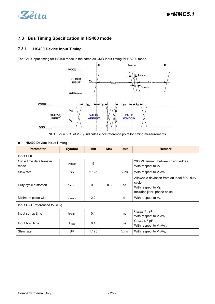

# <span id="page-24-0"></span>**7.3 Bus Timing Specification in HS400 mode**

### **7.3.1 HS400 Device Input Timing**

The CMD input timing for HS400 mode is the same as CMD input timing for HS200 mode.

<span id="page-24-1"></span>

NOTE  $V_T$  = 50% of  $V_{CCQ}$ , indicates clock reference point for timing measurements.

#### **HS400 Device Input Timing**

| <b>Parameter</b>                 | <b>Symbol</b>       | <b>Min</b> | <b>Max</b> | <b>Unit</b> | <b>Remark</b>                                                                                                   |
|----------------------------------|---------------------|------------|------------|-------------|-----------------------------------------------------------------------------------------------------------------|
| Input CLK                        |                     |            |            |             |                                                                                                                 |
| Cycle time data transfer<br>mode | t <sub>PERIOD</sub> | 5          |            |             | 200 MHz(max), between rising edges<br>With respect to $V_T$ .                                                   |
| Slew rate                        | <b>SR</b>           | 1.125      |            | V/ns        | With respect to VIH/VIL.                                                                                        |
| Duty cycle distortion            | t <sub>CKDCD</sub>  | 0.0        | 0.3        | ns          | Allowable deviation from an ideal 50% duty<br>cycle.<br>With respect to $V_T$ .<br>Includes jitter, phase noise |
| Minimum pulse width              | t <sub>CKMPW</sub>  | 2.2        |            | ns          | With respect to $V_T$ .                                                                                         |
| Input DAT (referenced to CLK)    |                     |            |            |             |                                                                                                                 |
| Input set-up time                | tisuddr             | 0.4        |            | ns          | $C_{\text{Device}} \leq 6$ pF<br>With respect to $V_{IH}/V_{IL}$ .                                              |
| Input hold time                  | t <sub>IHddr</sub>  | 0.4        |            | ns          | $C_{\text{Device}} \leq 6$ pF<br>With respect to $V_{IH}/V_{IL}$ .                                              |
| Slew rate                        | <b>SR</b>           | 1.125      |            | V/ns        | With respect to $V_{IH}/V_{IL}$ .                                                                               |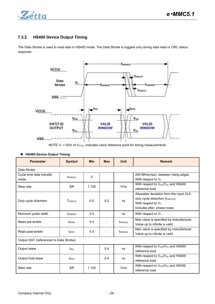

### <span id="page-25-0"></span>**7.3.2 HS400 Device Output Timing**

The Data Strobe is used to read data in HS400 mode. The Data Strobe is toggled only during data read or CRC status response.



NOTE  $V_T$  = 50% of  $V_{CCQ}$ , indicates clock reference point for timing measurements.

| <b>Parameter</b>                       | <b>Symbol</b>       | <b>Min</b> | <b>Max</b> | <b>Unit</b>         | <b>Remark</b>                                                                                                                                     |
|----------------------------------------|---------------------|------------|------------|---------------------|---------------------------------------------------------------------------------------------------------------------------------------------------|
| Data Strobe                            |                     |            |            |                     |                                                                                                                                                   |
| Cycle time data transfer<br>mode       | t <sub>PERIOD</sub> | 5          |            |                     | 200 MHz(max), between rising edges<br>With respect to $V_T$ .                                                                                     |
| Slew rate                              | <b>SR</b>           | 1.125      |            | V/ns                | With respect to V <sub>OH</sub> /V <sub>OL</sub> and HS400<br>reference load                                                                      |
| Duty cycle distortion                  | T <sub>DSDCD</sub>  | 0.0        | 0.2        | ns                  | Allowable deviation from the input CLK<br>duty cycle distortion (t <sub>CKDCD</sub> ).<br>With respect to $V_T$ .<br>Includes jitter, phase noise |
| Minimum pulse width                    | t <sub>DSMPW</sub>  | 2.0        |            | ns                  | With respect to $V_T$ .                                                                                                                           |
| Read pre-amble                         | t <sub>RPRE</sub>   | 0.4        |            | t <sub>PERIOD</sub> | Max value is specified by manufacturer.<br>Value up to infinite is valid                                                                          |
| Read post-amble                        | t <sub>RPST</sub>   | 0.4        |            | t <sub>PERIOD</sub> | Max value is specified by manufacturer.<br>Value up to infinite is valid                                                                          |
| Output DAT (referenced to Data Strobe) |                     |            |            |                     |                                                                                                                                                   |
| Output skew                            | t <sub>RQ</sub>     |            | 0.4        | ns                  | With respect to V <sub>OH</sub> /V <sub>OL</sub> and HS400<br>reference load                                                                      |
| Output hold skew                       | t <sub>RQH</sub>    |            | 0.4        | ns                  | With respect to V <sub>OH</sub> /V <sub>OL</sub> and HS400<br>reference load                                                                      |
| Slew rate                              | <b>SR</b>           | 1.125      |            | V/ns                | With respect to V <sub>OH</sub> /V <sub>OL</sub> and HS400<br>reference load                                                                      |

### **HS400 Device Output Timing**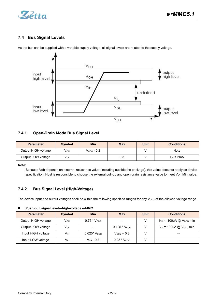

# <span id="page-26-0"></span>**7.4 Bus Signal Levels**



As the bus can be supplied with a variable supply voltage, all signal levels are related to the supply voltage.

### <span id="page-26-1"></span>**7.4.1 Open-Drain Mode Bus Signal Level**

| <b>Parameter</b>    | <b>Symbol</b>   | <b>Min</b>      | <b>Max</b> | Unit | <b>Conditions</b> |
|---------------------|-----------------|-----------------|------------|------|-------------------|
| Output HIGH voltage | V <sub>он</sub> | $V_{CCQ}$ - 0.2 |            |      | Note              |
| Output LOW voltage  | VOL             |                 | 0.3        |      | $I_{OL} = 2mA$    |

**Note:**

Because Voh depends on external resistance value (including outside the package), this value does not apply as device specification. Host is responsible to choose the external pull-up and open drain resistance value to meet Voh Min value.

### <span id="page-26-2"></span>**7.4.2 Bus Signal Level (High-Voltage)**

The device input and output voltages shall be within the following specified ranges for any  $V_{CCQ}$  of the allowed voltage range.

| Push-pull signal level—high-voltage e•MMC |  |
|-------------------------------------------|--|
|-------------------------------------------|--|

| <b>Parameter</b>    | <b>Symbol</b>   | <b>Min</b>               | <b>Max</b>        | <b>Unit</b> | <b>Conditions</b>                 |
|---------------------|-----------------|--------------------------|-------------------|-------------|-----------------------------------|
| Output HIGH voltage | $V_{OH}$        | $0.75 * V_{CCQ}$         | $- -$             |             | $I_{OH}$ = -100uA @ $V_{CCQ}$ min |
| Output LOW voltage  | $V_{OL}$        | $\qquad \qquad \cdots$   | $0.125 * V_{CCQ}$ |             | $I_{OL}$ = 100uA @ $V_{CCQ}$ min  |
| Input HIGH voltage  | V <sub>IH</sub> | $0.625$ * V $_{\rm CCO}$ | $V_{CCO}$ + 0.3   |             | $\qquad \qquad$                   |
| Input LOW voltage   | VIL             | $V_{SS}$ - 0.3           | $0.25 * VCCQ$     |             | $\qquad \qquad$                   |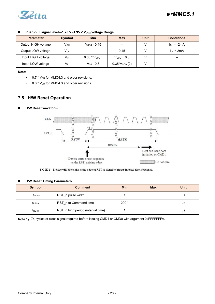

| <b>Parameter</b>    | <b>Symbol</b>   | <b>Min</b>                                     | <b>Max</b>         | <b>Unit</b> | <b>Conditions</b>                                 |
|---------------------|-----------------|------------------------------------------------|--------------------|-------------|---------------------------------------------------|
| Output HIGH voltage | V <sub>он</sub> | $VCCO$ - 0.45                                  | $- -$              |             | $I_{OH} = -2mA$                                   |
| Output LOW voltage  | Vol             | $\hspace{0.1mm}-\hspace{0.1mm}-\hspace{0.1mm}$ | 0.45               |             | $I_{OL}$ = 2mA                                    |
| Input HIGH voltage  | V <sub>IH</sub> | $0.65 * V_{CCO}$ <sup>1</sup>                  | $V_{CCO}$ + 0.3    |             | $\hspace{0.05cm}$                                 |
| Input LOW voltage   | $V_{\parallel}$ | $V_{SS}$ - 0.3                                 | $0.35*V_{CCQ} (2)$ |             | $\hspace{0.05cm}-\hspace{0.05cm}-\hspace{0.05cm}$ |

### **Push-pull signal level—1.70 V -1.95 V VCCQ voltage Range**

**Note:**

- $-$  0.7  $*$  V<sub>DD</sub> for MMC4.3 and older revisions.
- $0.3 * V_{DD}$  for MMC4.3 and older revisions.

### <span id="page-27-0"></span>**7.5 H/W Reset Operation**

**H/W Reset waveform**



t<sub>RSTH</sub> RST\_n high period (interval time) 1 1 | μs

NOTE 1 Device will detect the rising edge of RST\_n signal to trigger internal reset sequence.

| <b>H/W Reset Timing Parameters</b><br>$\blacksquare$ |                       |                  |            |             |  |  |  |  |  |  |
|------------------------------------------------------|-----------------------|------------------|------------|-------------|--|--|--|--|--|--|
| <b>Symbol</b>                                        | <b>Comment</b>        | <b>Min</b>       | <b>Max</b> | <b>Unit</b> |  |  |  |  |  |  |
| t <sub>RSTW</sub>                                    | RST n pulse width     |                  |            | μs          |  |  |  |  |  |  |
| t <sub>RSCA</sub>                                    | RST n to Command time | 200 <sup>1</sup> |            | μs          |  |  |  |  |  |  |

Note 1: 74 cycles of clock signal required before issuing CMD1 or CMD0 with argument 0xFFFFFFFA.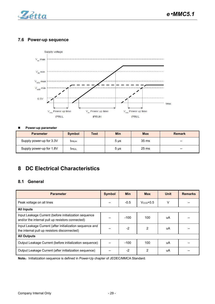

# **7.6 Power-up sequence**

<span id="page-28-0"></span>

### **Power-up parameter**

| <b>Parameter</b>         | <b>Symbol</b> | <b>Test</b> | <b>Min</b> | <b>Max</b>       | <b>Remark</b>                                  |
|--------------------------|---------------|-------------|------------|------------------|------------------------------------------------|
| Supply power-up for 3.3V | <b>IPRUH</b>  |             | $5 \mu s$  | 35 <sub>ms</sub> | $\qquad \qquad \cdots$                         |
| Supply power-up for 1.8V | <b>T</b> PRUL |             | $5 \mu s$  | 25 <sub>ms</sub> | $\hspace{0.1mm}-\hspace{0.1mm}-\hspace{0.1mm}$ |

# <span id="page-28-1"></span>**8 DC Electrical Characteristics**

# <span id="page-28-2"></span>**8.1 General**

| <b>Parameter</b>                                                                                          | <b>Symbol</b> | <b>Min</b> | <b>Max</b> | Unit | <b>Remarks</b> |
|-----------------------------------------------------------------------------------------------------------|---------------|------------|------------|------|----------------|
| Peak voltage on all lines                                                                                 | $- -$         | $-0.5$     | $VCCO+0.5$ | V    |                |
| <b>All Inputs</b>                                                                                         |               |            |            |      |                |
| Input Leakage Current (before initialization sequence<br>and/or the internal pull up resistors connected) |               | $-100$     | 100        | uA   |                |
| Input Leakage Current (after initialization sequence and<br>the internal pull up resistors disconnected)  |               | $-2$       | 2          | uA   |                |
| <b>All Outputs</b>                                                                                        |               |            |            |      |                |
| Output Leakage Current (before initialization sequence)                                                   |               | $-100$     | 100        | uA   |                |
| Output Leakage Current (after initialization sequence)                                                    |               | $-2$       | 2          | uA   |                |

Note: Initialization sequence is defined in Power-Up chapter of JEDEC/MMCA Standard.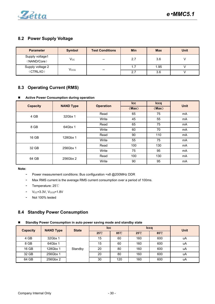

# <span id="page-29-0"></span>**8.2 Power Supply Voltage**

| <b>Parameter</b>               | <b>Symbol</b> | <b>Test Conditions</b>                            | <b>Min</b> | <b>Max</b> | <b>Unit</b> |
|--------------------------------|---------------|---------------------------------------------------|------------|------------|-------------|
| Supply voltage1<br>(NAND/Core) | $\rm V_{CC}$  | $\hspace{0.05cm}$                                 | 2.7        | 3.6        |             |
| Supply voltage 2               | Vcco          |                                                   | 1.7        | 1.95       |             |
| (CTRL/IO)                      |               | $\hspace{0.05cm}-\hspace{0.05cm}-\hspace{0.05cm}$ | 2.7        | 3.6        |             |

# <span id="page-29-1"></span>**8.3 Operating Current (RMS)**

### **Active Power Consumption during operation**

| <b>Capacity</b> | <b>NAND Type</b> | <b>Operation</b> | <b>Icc</b> | Iccq  | <b>Unit</b> |
|-----------------|------------------|------------------|------------|-------|-------------|
|                 |                  |                  | (Max)      | (Max) |             |
| 4 GB            | 32Gbx 1          | Read             | 65         | 75    | mA          |
|                 |                  | Write            | 45         | 55    | mA          |
| 8 GB            | 64Gbx 1          | Read             | 65         | 75    | mA          |
|                 |                  | Write            | 60         | 70    | mA          |
| 16 GB           | 128Gbx 1         | Read             | 90         | 110   | mA          |
|                 |                  | Write            | 55         | 75    | mA          |
| 32 GB           | 256Gbx 1         | Read             | 100        | 130   | mA          |
|                 |                  | Write            | 75         | 95    | mA          |
| 64 GB           | 256Gbx 2         | Read             | 100        | 130   | mA          |
|                 |                  | Write            | 90         | 95    | mA          |

### **Note:**

- Power measurement conditions: Bus configuration =x8 @200MHz DDR
- Max RMS current is the average RMS current consumption over a period of 100ms.
- Temperature: 25℃
- $-V_{CC} = 3.3V$ ,  $V_{CCQ} = 1.8V$
- Not 100% tested

### <span id="page-29-2"></span>**8.4 Standby Power Consumption**

#### **Standby Power Consumption in auto power saving mode and standby state**

| <b>Capacity</b> | <b>NAND Type</b> | <b>State</b> | <b>Icc</b>                           |     |      | <b>Iccq</b> | <b>Unit</b> |
|-----------------|------------------|--------------|--------------------------------------|-----|------|-------------|-------------|
|                 |                  |              | $25^{\circ}$<br>85°C<br>$25^{\circ}$ |     | 85°C |             |             |
| 4 GB            | 32Gbx 1          |              | 15                                   | 60  | 160  | 600         | uA          |
| 8 GB            | 64Gbx 1          |              | 15                                   | 60  | 160  | 600         | uA          |
| 16 GB           | 128Gbx 1         | Standby      | 20                                   | 80  | 160  | 600         | uA          |
| 32 GB           | 256Gbx 1         |              | 20                                   | 80  | 160  | 600         | uA          |
| 64 GB           | 256Gbx 2         |              | 30                                   | 120 | 160  | 600         | uA          |